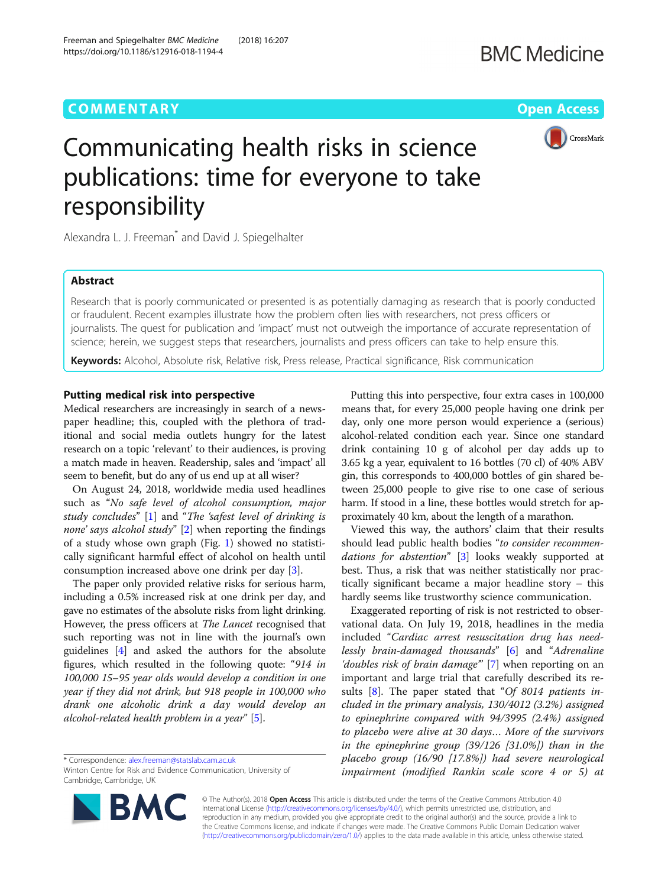# **COMMENTARY COMMENTARY Open Access**

https://doi.org/10.1186/s12916-018-1194-4



# Communicating health risks in science publications: time for everyone to take responsibility

Alexandra L. J. Freeman<sup>\*</sup> and David J. Spiegelhalter

Freeman and Spiegelhalter BMC Medicine (2018) 16:207

# Abstract

Research that is poorly communicated or presented is as potentially damaging as research that is poorly conducted or fraudulent. Recent examples illustrate how the problem often lies with researchers, not press officers or journalists. The quest for publication and 'impact' must not outweigh the importance of accurate representation of science; herein, we suggest steps that researchers, journalists and press officers can take to help ensure this.

Keywords: Alcohol, Absolute risk, Relative risk, Press release, Practical significance, Risk communication

### Putting medical risk into perspective

Medical researchers are increasingly in search of a newspaper headline; this, coupled with the plethora of traditional and social media outlets hungry for the latest research on a topic 'relevant' to their audiences, is proving a match made in heaven. Readership, sales and 'impact' all seem to benefit, but do any of us end up at all wiser?

On August 24, 2018, worldwide media used headlines such as "No safe level of alcohol consumption, major study concludes" [\[1\]](#page-2-0) and "The 'safest level of drinking is none' says alcohol study" [\[2](#page-2-0)] when reporting the findings of a study whose own graph (Fig. [1](#page-1-0)) showed no statistically significant harmful effect of alcohol on health until consumption increased above one drink per day [[3\]](#page-2-0).

The paper only provided relative risks for serious harm, including a 0.5% increased risk at one drink per day, and gave no estimates of the absolute risks from light drinking. However, the press officers at The Lancet recognised that such reporting was not in line with the journal's own guidelines [[4](#page-2-0)] and asked the authors for the absolute figures, which resulted in the following quote: "914 in 100,000 15–95 year olds would develop a condition in one year if they did not drink, but 918 people in 100,000 who drank one alcoholic drink a day would develop an alcohol-related health problem in a year" [\[5](#page-2-0)].

Winton Centre for Risk and Evidence Communication, University of Cambridge, Cambridge, UK



Putting this into perspective, four extra cases in 100,000 means that, for every 25,000 people having one drink per day, only one more person would experience a (serious) alcohol-related condition each year. Since one standard drink containing 10 g of alcohol per day adds up to 3.65 kg a year, equivalent to 16 bottles (70 cl) of 40% ABV gin, this corresponds to 400,000 bottles of gin shared between 25,000 people to give rise to one case of serious harm. If stood in a line, these bottles would stretch for approximately 40 km, about the length of a marathon.

Viewed this way, the authors' claim that their results should lead public health bodies "to consider recommen-dations for abstention" [[3\]](#page-2-0) looks weakly supported at best. Thus, a risk that was neither statistically nor practically significant became a major headline story – this hardly seems like trustworthy science communication.

Exaggerated reporting of risk is not restricted to observational data. On July 19, 2018, headlines in the media included "Cardiac arrest resuscitation drug has needlessly brain-damaged thousands" [[6](#page-2-0)] and "Adrenaline 'doubles risk of brain damage'" [\[7](#page-2-0)] when reporting on an important and large trial that carefully described its re-sults [[8\]](#page-2-0). The paper stated that "Of 8014 patients included in the primary analysis, 130/4012 (3.2%) assigned to epinephrine compared with 94/3995 (2.4%) assigned to placebo were alive at 30 days… More of the survivors in the epinephrine group (39/126 [31.0%]) than in the placebo group (16/90 [17.8%]) had severe neurological impairment (modified Rankin scale score 4 or 5) at

© The Author(s). 2018 Open Access This article is distributed under the terms of the Creative Commons Attribution 4.0 International License [\(http://creativecommons.org/licenses/by/4.0/](http://creativecommons.org/licenses/by/4.0/)), which permits unrestricted use, distribution, and reproduction in any medium, provided you give appropriate credit to the original author(s) and the source, provide a link to the Creative Commons license, and indicate if changes were made. The Creative Commons Public Domain Dedication waiver [\(http://creativecommons.org/publicdomain/zero/1.0/](http://creativecommons.org/publicdomain/zero/1.0/)) applies to the data made available in this article, unless otherwise stated.

<sup>\*</sup> Correspondence: [alex.freeman@statslab.cam.ac.uk](mailto:alex.freeman@statslab.cam.ac.uk)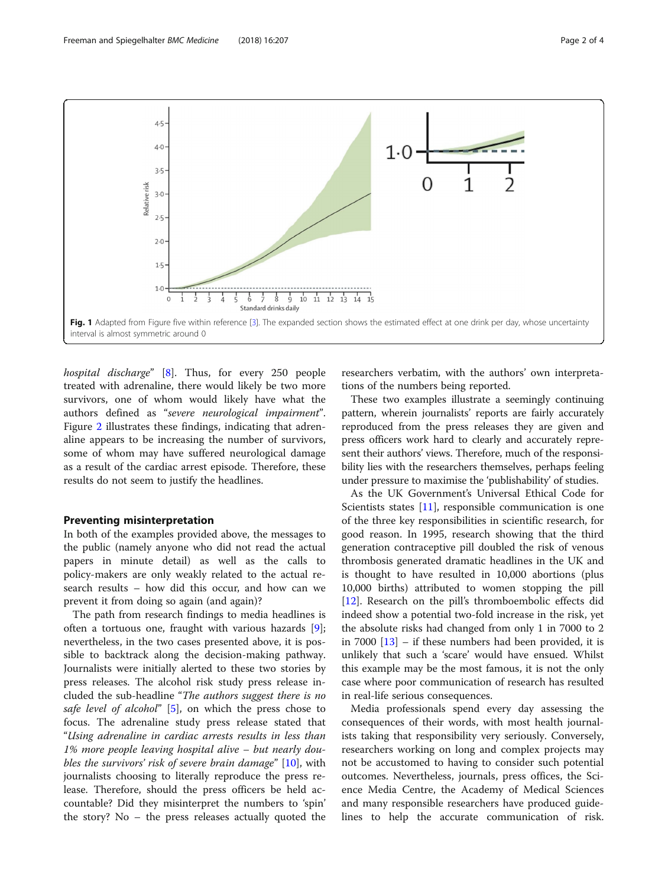<span id="page-1-0"></span>

hospital discharge" [[8\]](#page-2-0). Thus, for every 250 people treated with adrenaline, there would likely be two more survivors, one of whom would likely have what the authors defined as "severe neurological impairment". Figure [2](#page-2-0) illustrates these findings, indicating that adrenaline appears to be increasing the number of survivors, some of whom may have suffered neurological damage as a result of the cardiac arrest episode. Therefore, these results do not seem to justify the headlines.

## Preventing misinterpretation

In both of the examples provided above, the messages to the public (namely anyone who did not read the actual papers in minute detail) as well as the calls to policy-makers are only weakly related to the actual research results – how did this occur, and how can we prevent it from doing so again (and again)?

The path from research findings to media headlines is often a tortuous one, fraught with various hazards [\[9](#page-3-0)]; nevertheless, in the two cases presented above, it is possible to backtrack along the decision-making pathway. Journalists were initially alerted to these two stories by press releases. The alcohol risk study press release included the sub-headline "The authors suggest there is no safe level of alcohol" [\[5\]](#page-2-0), on which the press chose to focus. The adrenaline study press release stated that "Using adrenaline in cardiac arrests results in less than 1% more people leaving hospital alive – but nearly dou-bles the survivors' risk of severe brain damage" [\[10](#page-3-0)], with journalists choosing to literally reproduce the press release. Therefore, should the press officers be held accountable? Did they misinterpret the numbers to 'spin' the story? No – the press releases actually quoted the researchers verbatim, with the authors' own interpretations of the numbers being reported.

These two examples illustrate a seemingly continuing pattern, wherein journalists' reports are fairly accurately reproduced from the press releases they are given and press officers work hard to clearly and accurately represent their authors' views. Therefore, much of the responsibility lies with the researchers themselves, perhaps feeling under pressure to maximise the 'publishability' of studies.

As the UK Government's Universal Ethical Code for Scientists states [[11](#page-3-0)], responsible communication is one of the three key responsibilities in scientific research, for good reason. In 1995, research showing that the third generation contraceptive pill doubled the risk of venous thrombosis generated dramatic headlines in the UK and is thought to have resulted in 10,000 abortions (plus 10,000 births) attributed to women stopping the pill [[12\]](#page-3-0). Research on the pill's thromboembolic effects did indeed show a potential two-fold increase in the risk, yet the absolute risks had changed from only 1 in 7000 to 2 in 7000 [\[13](#page-3-0)] – if these numbers had been provided, it is unlikely that such a 'scare' would have ensued. Whilst this example may be the most famous, it is not the only case where poor communication of research has resulted in real-life serious consequences.

Media professionals spend every day assessing the consequences of their words, with most health journalists taking that responsibility very seriously. Conversely, researchers working on long and complex projects may not be accustomed to having to consider such potential outcomes. Nevertheless, journals, press offices, the Science Media Centre, the Academy of Medical Sciences and many responsible researchers have produced guidelines to help the accurate communication of risk.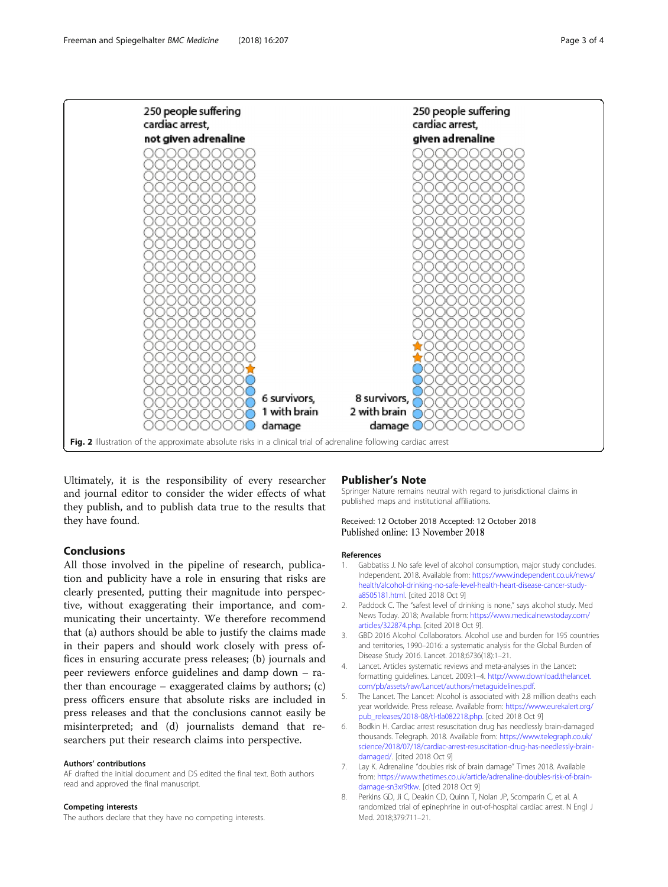<span id="page-2-0"></span>

Ultimately, it is the responsibility of every researcher and journal editor to consider the wider effects of what they publish, and to publish data true to the results that they have found.

# Conclusions

All those involved in the pipeline of research, publication and publicity have a role in ensuring that risks are clearly presented, putting their magnitude into perspective, without exaggerating their importance, and communicating their uncertainty. We therefore recommend that (a) authors should be able to justify the claims made in their papers and should work closely with press offices in ensuring accurate press releases; (b) journals and peer reviewers enforce guidelines and damp down – rather than encourage – exaggerated claims by authors; (c) press officers ensure that absolute risks are included in press releases and that the conclusions cannot easily be misinterpreted; and (d) journalists demand that researchers put their research claims into perspective.

#### Authors' contributions

AF drafted the initial document and DS edited the final text. Both authors read and approved the final manuscript.

#### Competing interests

The authors declare that they have no competing interests.

#### Publisher's Note

Springer Nature remains neutral with regard to jurisdictional claims in published maps and institutional affiliations.

#### Received: 12 October 2018 Accepted: 12 October 2018 Published online: 13 November 2018

#### References

- 1. Gabbatiss J. No safe level of alcohol consumption, major study concludes. Independent. 2018. Available from: [https://www.independent.co.uk/news/](https://www.independent.co.uk/news/health/alcohol-drinking-no-safe-level-health-heart-disease-cancer-study-a8505181.html) [health/alcohol-drinking-no-safe-level-health-heart-disease-cancer-study](https://www.independent.co.uk/news/health/alcohol-drinking-no-safe-level-health-heart-disease-cancer-study-a8505181.html)[a8505181.html](https://www.independent.co.uk/news/health/alcohol-drinking-no-safe-level-health-heart-disease-cancer-study-a8505181.html). [cited 2018 Oct 9]
- 2. Paddock C. The "safest level of drinking is none," says alcohol study. Med News Today. 2018; Available from: [https://www.medicalnewstoday.com/](https://www.medicalnewstoday.com/articles/322874.php) [articles/322874.php.](https://www.medicalnewstoday.com/articles/322874.php) [cited 2018 Oct 9].
- 3. GBD 2016 Alcohol Collaborators. Alcohol use and burden for 195 countries and territories, 1990–2016: a systematic analysis for the Global Burden of Disease Study 2016. Lancet. 2018;6736(18):1–21.
- 4. Lancet. Articles systematic reviews and meta-analyses in the Lancet: formatting guidelines. Lancet. 2009:1–4. [http://www.download.thelancet.](http://www.download.thelancet.com/pb/assets/raw/Lancet/authors/metaguidelines.pdf) [com/pb/assets/raw/Lancet/authors/metaguidelines.pdf](http://www.download.thelancet.com/pb/assets/raw/Lancet/authors/metaguidelines.pdf).
- 5. The Lancet. The Lancet: Alcohol is associated with 2.8 million deaths each year worldwide. Press release. Available from: [https://www.eurekalert.org/](https://www.eurekalert.org/pub_releases/2018-08/tl-tla082218.php) [pub\\_releases/2018-08/tl-tla082218.php](https://www.eurekalert.org/pub_releases/2018-08/tl-tla082218.php). [cited 2018 Oct 9]
- 6. Bodkin H. Cardiac arrest resuscitation drug has needlessly brain-damaged thousands. Telegraph. 2018. Available from: [https://www.telegraph.co.uk/](https://www.telegraph.co.uk/science/2018/07/18/cardiac-arrest-resuscitation-drug-has-needlessly-brain-damaged/) [science/2018/07/18/cardiac-arrest-resuscitation-drug-has-needlessly-brain](https://www.telegraph.co.uk/science/2018/07/18/cardiac-arrest-resuscitation-drug-has-needlessly-brain-damaged/)[damaged/](https://www.telegraph.co.uk/science/2018/07/18/cardiac-arrest-resuscitation-drug-has-needlessly-brain-damaged/). [cited 2018 Oct 9]
- 7. Lay K. Adrenaline "doubles risk of brain damage" Times 2018. Available from: [https://www.thetimes.co.uk/article/adrenaline-doubles-risk-of-brain](https://www.thetimes.co.uk/article/adrenaline-doubles-risk-of-brain-damage-sn3xr9tkw)[damage-sn3xr9tkw.](https://www.thetimes.co.uk/article/adrenaline-doubles-risk-of-brain-damage-sn3xr9tkw) [cited 2018 Oct 9]
- 8. Perkins GD, Ji C, Deakin CD, Quinn T, Nolan JP, Scomparin C, et al. A randomized trial of epinephrine in out-of-hospital cardiac arrest. N Engl J Med. 2018;379:711–21.